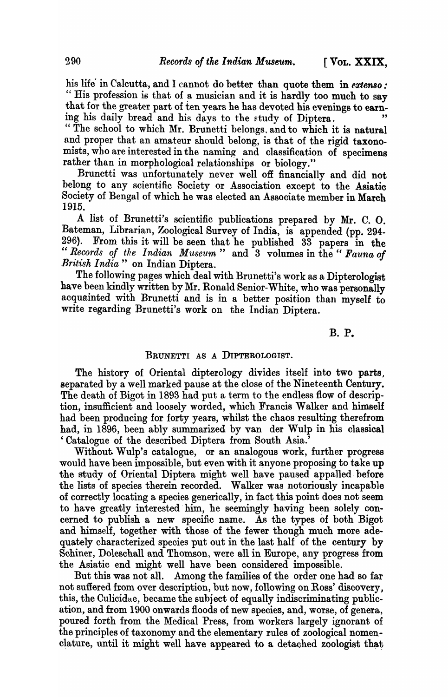his life in Calcutta, and I cannot do better than quote them in *extenso*: " His profession is that of a musician and it is hardly too much to say that for the greater part of ten years he has devoted his evenings to earning his daily bread and his days to the study of Diptera.

" The school to which Mr. Brunetti belongs. and to which it is natural and proper that an amateur should belong, is that of the rigid taxonomists, who are interested in the naming and classification of specimens rather than in morphological relationships or biology."

Brunetti was unfortunately never well off financially and did not belong to any scientific Society or Association except to the Asiatic Society of Bengal of which he was elected an Associate member in March 1915.

A list of Brunetti's scientific publications prepared by Mr. C. o. Bateman, Librarian, Zoological Survey of India, is appended (pp. 294-<br>296). From this it will be seen that he published 33 papers in the From this it will be seen that he published 33 papers in the *"Records of the Indian Museum"* and 3 volumes in the" *Fauna of British India"* on Indian Diptera.

The following pages which deal with Brunetti's work as a Dipterologist have been kindly written by Mr. Ronald Senior-White, who was personally acquainted with Brunetti and is in a better position than myself to write regarding Brunetti's work on the Indian Diptera.

B. P.

## BRUNETTI AS A DIPTEROLOGIST.

The history of Oriental dipterology divides itself into two parts, separated by a well marked pause at the close of the Nineteenth Century. The death of Bigot in 1893 had put a term to the endless flow of description, insufficient and loosely worded, which Francis Walker and himself had been producing for forty years, whilst the chaos resulting therefrom had, in 1896, been ably summarized by van der Wulp in his classical 'Catalogue of the described Diptera from South Asia.'

Without Wulp's catalogue, or an analogous work, further progress would have been impossible, but even with it anyone proposing to take up the study of Oriental Diptera might well have paused appalled.before the lists of species therein recorded. Walker was notoriously incapable of correctly locating a species generically, in fact this point does not seem to have greatly interested him, he seemingly having been solely concerned to publish a new specific name. As the types of both Bigot and himself, together with those of the fewer though much more adequately characterized species put out in the last half of the century by Schiner, Doleschall and Thomson, were all in Europe, any progress from the Asiatic end might well have been considered impossible.

But this was not all. Among the families of the order one had so far not sufiered ftom over description, but now, following on Ross' discovery, this, the Culicidae, became the subject of equally indiscriminating publication, and from 1900 onwards floods of new species, and, worse, of genera, poured forth from the Medical Press, from workers largely ignorant of the principles of taxonomy. and the elementary rules of zoological nomen. clature, until it might well have appeared to a detached zoologist that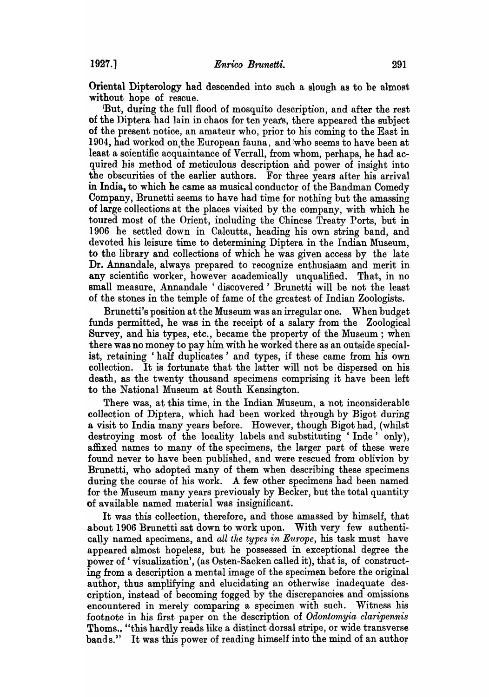Oriental Dipterology had descended into such a slough as to be almost without hope of rescue.

'But, during the full flood of mosquito description, and after the rest of the Diptera had lain in chaos for ten yeats, there appeared the subject of the present notice, an amateur who, prior to his coming to the East in 1904, had worked on, the European fauna, and who seems to have been at least a scientific acquaintance of Verrall, from whom, perhaps, he had acquired his method of meticulous description and power of insight into the obscurities of the earlier authors. For three years after his arrival in India, to which he came as musical conductor of the Bandman Comedy Company, Brunetti seems to have had time for nothing but the amassing of large collections at the places visited by the company, with which he toured most of the Orient, including the Chinese Treaty Ports, but in 1906 he settled down in Calcutta, heading his own string band, and devoted his leisure time to determining Diptera in the Indian Museum, to the library and collections of which he was given access by the late Dr. Annandale, always prepared to recognize enthusiasm and merit in any scientific worker, however academically unqualified. That, in no small measure, Annandale 'discovered' Brunetti will be not the least of the stones in the temple of fame of the greatest of Indian Zoologists.

Brunetti's position at the Museum was an irregular one. When budget funds permitted, he was in the' receipt of a salary from the Zoological Survey, and his types, etc., became the property of the Museum; when there was no money to pay him with he worked there as an outside specialist, retaining' half duplicates' and types, if these came from his own collection. It is fortunate that the latter will not be dispersed on his death, as the twenty thousand specimens comprising it have been left to the National Museum at South Kensington.

There was, at this time, in the Indian Museum, a not inconsiderable collection of Diptera, which had been worked through by Bigot during a visit to India many years before. However, though Bigot had, (whilst destroying most of the locality labels and substituting 'Inde' only), affixed names to many of the specimens, the larger part of these were found never to have been published, and were rescued from oblivion by Brunetti, who adopted many of them when describing these specimens during the course of his work. A few other specimens had been named for the Museum many years previously by Becker, but the total quantity of available named material was insignificant.

It was this collection, therefore, and those amassed by himself, that about 1906 Brunetti sat down to work upon. With very few authenticaUy named specimens, and *all the types in Europe,* his task must have appeared almost hopeless, but he possessed in exceptional degree the power of' visualization', (as Osten-Sacken called it), that is, of constructing from a description a mental image of the specimen before the original author, thus amplifying and elucidating an otherwise inadequate description, instead of becoming fogged by the discrepancies and omissions encountered in merely comparing a specimen with such. Witness his footnote in his first paper on the description of *Odontomyia claripennis*  Thoms.. "this hardly reads like a distinct dorsal stripe, or wide transverse bands." It was this power of reading himself into the mind of an author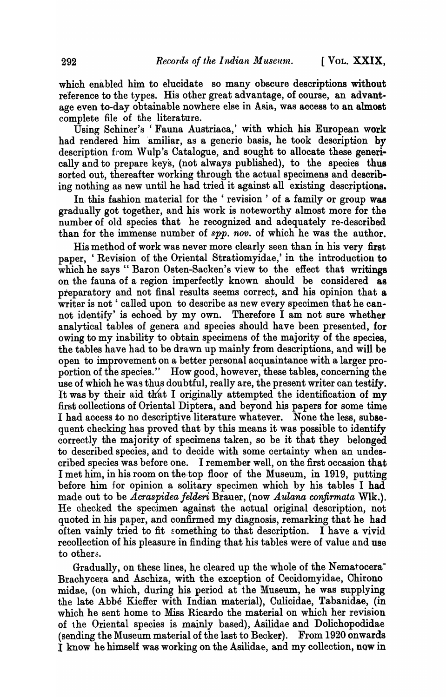which enabled him to elucidate so many obscure descriptions without reference to the types. His other great advantage, of course, an advantage even to-day obtainable nowhere else in Asia, was access to an almost complete file of the literature.

Using Schiner's 'Fauna Austriaca,' with which his European work had rendered him amiliar, as a generic basis, he took description by description from Wulp's Catalogue, and sought to allocate these generically and to prepare keys, (not always published), to the species thus sorted out, thereafter working through the actual specimens and describing nothing as new until he had tried it against all existing descriptions.

In this fashion material for the' revision' of a family or group was gradually got together, and his work is noteworthy almost more for the number of old species that he recognized and adequately re-described than for the immense number of *spp. nov.* of which he was the author.

His method of work was never more clearly seen than in his very first paper, 'Revision of the Oriental Stratiomyidae,' in the introduction to which he says "Baron Osten-Sacken's view to the effect that writings on the fauna of a region imperfectly known should be considered as preparatory and not final results seems correct, and his opinion that a writer is not 'called upon to describe as new every specimen that he cannot identify' is echoed by my own. Therefore I am not sure whether analytical tables of genera and species should have been presented, for owing to my inability to obtain specimens of the majority of the species, the tables have had to be drawn up mainly from descriptions, and will be open to improvement on a better personal acquaintance with a larger proportion of the species." How good, however, these tables, concerning the use of which he was thus doubtful, really are, the present writer can testify. It was by their aid that I originally attempted the identification of my first collections of Oriental Diptera, and beyond his papers for some time I had access to no descriptive literature whatever. None the less, subsequent checking has proved that by this means it was possible to identify correctly the majority of specimens taken, so be it that they belonged to described species, and to decide with some certainty when an undescribed species was before one. I remember well, on the first occasion that I met him, in his room on the.top floor of the Museum, in 1919, putting before him for opinion a solitary specimen which by his tables I had made out to be *Acraspidea felderi* Brauer, (now *Aulana confirmata* WIk.). He checked the specimen against the actual original description, not quoted in his paper, and confirmed my diagnosis, remarking that he had often vainly tried to fit something to that description. I have a vivid recollection of his pleasure in finding that his tables were of value and use to others.

Gradually, on these lines, he cleared up the whole of the Nematocera-Brachycera and Aschiza, with the exception of Cecidomyidae, Chirono midae, (on which, during his period at the Museum, he was supplying the late Abbe Kieffer with Indian material), Culicidae, Tabanidae, (in which he sent home to Miss Ricardo the material on which her revision of the Oriental species is mainly based), Asilidae and Dolichopodidae (sending the Museum material of the last to Becker). From 1920 onwards I know he himself was working on the Asilidae, and my collection, now in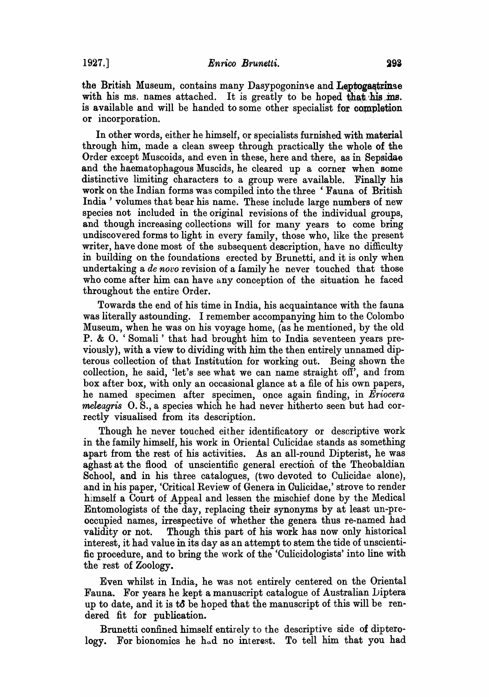the British Museum, contains many Dasypogoninae and Leptogastrinae with his ms. names attached. It is greatly to be hoped that his ms. is available and will be handed to some other specialist for completion or incorporation.

In other words, either he himself, or specialists furnished with material through him, made a clean sweep through practically the whole of the Order except Muscoids, and even in these, here and there, as in Sepsidae and the haematophagous Muscids, he cleared up a corner when some distinctive limiting characters to a group were available. Finally his work on the Indian forms was compiled into the three 'Fauna of British India' volumes that bear his name. These include large numbers of new species not included in the original revisions of the individual groups, and though increasing collections will for many years to come bring undiscovered forms to light in every family, those who, like the present writer, have done most of the subsequent description, have no difficulty in building on the foundations erected by Brunetti, and it is only when undertaking a *de novo* revision of a family he never touched that those who come after him can have any conception of the situation he faced throughout the entire Order.

Towards the end of his time in India, his acquaintance with the fauna was literally astounding. I remember accompanying him to the Colombo Museum, when he was on his voyage home, (as he mentioned, by the old P. & O. ' Somali' that had brought him to India seventeen years previously), with a view to dividing with him the then entirely unnamed dipterous collection of that Institution for working out. Being shown the collection, he said, 'let's see what we can name straight off', and from box after box, with only an occasional glance at a file of his own papers, he named specimen after specimen, once again finding, in *Eriocera meleagris* O. S., a species which he had never hitherto seen but had correctly visualised from its description.

Though he never touched either identificatory or descriptive work in the family himself, his work in Oriental Culicidae stands as something apart from the rest of his activities. As an all-round Dipterist, he was aghast at the flood of unscientific general erection of the Theobaldian School, and in his three catalogues, (two devoted to Culicidae alone), and in his paper, 'Critical Review of Genera in Culicidae,' strove to render himself a Court of Appeal and lessen the mischief done by the Medical Entomologists of the day, replacing their synonyms by at least un-preoccupied names, irrespective of whether the genera thus re-named had validity or not. Though this part of his work has now only historical interest, it had value in its day as an attempt to stem the tide of unscientific procedure, and to bring the work of the 'Culicidologists' into line with the rest of Zoology.

Even whilst in India, he was not entirely centered on the Oriental Fauna. For years he kept a manuscript catalogue of Australian Diptera up to date, and it is  $\mathbf{t} \delta$  be hoped that the manuscript of this will be rendered fit for publication.

Brunetti confined himself entirely to the descriptive side of dipterology. For bionomics he had no interest. To tell him that you had